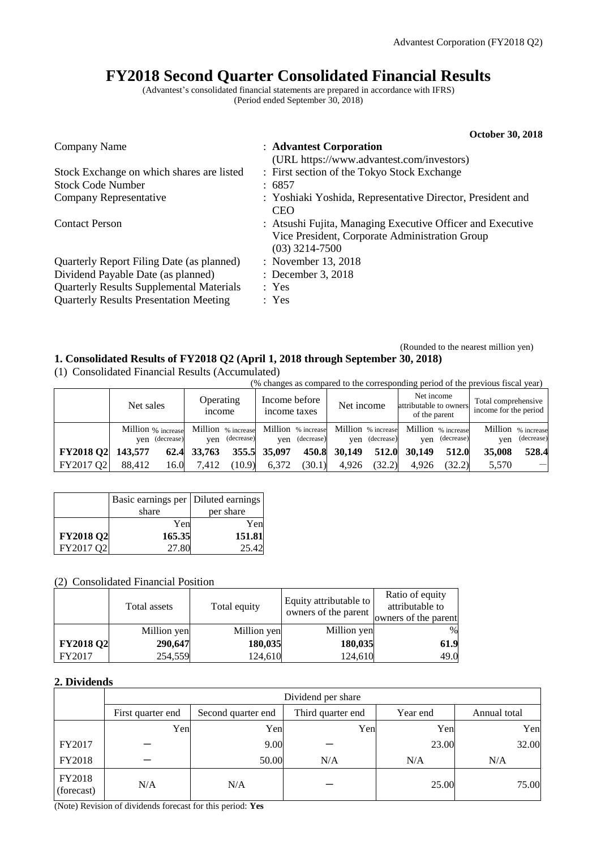# **FY2018 Second Quarter Consolidated Financial Results**

(Advantest's consolidated financial statements are prepared in accordance with IFRS) (Period ended September 30, 2018)

|                                                 | <b>October 30, 2018</b>                                                                                                          |
|-------------------------------------------------|----------------------------------------------------------------------------------------------------------------------------------|
| Company Name                                    | : Advantest Corporation                                                                                                          |
|                                                 | (URL https://www.advantest.com/investors)                                                                                        |
| Stock Exchange on which shares are listed       | : First section of the Tokyo Stock Exchange                                                                                      |
| <b>Stock Code Number</b>                        | : 6857                                                                                                                           |
| Company Representative                          | : Yoshiaki Yoshida, Representative Director, President and<br><b>CEO</b>                                                         |
| <b>Contact Person</b>                           | : Atsushi Fujita, Managing Executive Officer and Executive<br>Vice President, Corporate Administration Group<br>$(03)$ 3214-7500 |
| Quarterly Report Filing Date (as planned)       | : November 13, 2018                                                                                                              |
| Dividend Payable Date (as planned)              | : December 3, 2018                                                                                                               |
| <b>Quarterly Results Supplemental Materials</b> | : Yes                                                                                                                            |
| <b>Quarterly Results Presentation Meeting</b>   | : Yes                                                                                                                            |

### (Rounded to the nearest million yen) **1. Consolidated Results of FY2018 Q2 (April 1, 2018 through September 30, 2018)**

(1) Consolidated Financial Results (Accumulated)

(% changes as compared to the corresponding period of the previous fiscal year)

|                  | Net sales |                                      | <b>Operating</b><br><i>n</i> come |                | Income before<br>income taxes |                | Net income   |                | Net income<br>attributable to owners<br>of the parent                       |                | Total comprehensive<br>income for the period |                                  |
|------------------|-----------|--------------------------------------|-----------------------------------|----------------|-------------------------------|----------------|--------------|----------------|-----------------------------------------------------------------------------|----------------|----------------------------------------------|----------------------------------|
|                  |           | Million % increase<br>ven (decrease) |                                   | yen (decrease) |                               | ven (decrease) |              | ven (decrease) | Million % increase Million % increase Million % increase Million % increase | yen (decrease) | ven                                          | Million % increase<br>(decrease) |
| <b>FY2018 Q2</b> | 143,577   | 62.4                                 | 33,763                            |                | 355.5 35,097                  |                | 450.8 30,149 | 512.0          | 30.149                                                                      | 512.0          | 35,008                                       | 528.4                            |
| FY2017 O2        | 88.412    | 16.0                                 | 7.412                             | (10.9)         | 6.372                         | (30.1)         | 4.926        | (32.2)         | 4.926                                                                       | (32.2)         | 5.570                                        | $\overline{\phantom{m}}$         |

|                  | Basic earnings per   Diluted earnings |           |
|------------------|---------------------------------------|-----------|
|                  | share                                 | per share |
|                  | Yen                                   | Yen       |
| <b>FY2018 Q2</b> | 165.35                                | 151.81    |
| FY2017 O2        | 27.80                                 | 25.42     |

## (2) Consolidated Financial Position

|                  | Total assets | Total equity | Equity attributable to<br>owners of the parent | Ratio of equity<br>attributable to<br>owners of the parent |
|------------------|--------------|--------------|------------------------------------------------|------------------------------------------------------------|
|                  | Million yen  | Million yen  | Million yen                                    | $\%$                                                       |
| <b>FY2018 Q2</b> | 290,647      | 180,035      | 180,035                                        | 61.9                                                       |
| FY2017           | 254,559      | 124,610      | 124,610                                        | 49.0                                                       |

## **2. Dividends**

|                      | Dividend per share |                    |                   |          |              |  |  |  |
|----------------------|--------------------|--------------------|-------------------|----------|--------------|--|--|--|
|                      | First quarter end  | Second quarter end | Third quarter end | Year end | Annual total |  |  |  |
|                      | Yen                | Yen                | Yen               | Yen      | Yen          |  |  |  |
| FY2017               |                    | 9.00               |                   | 23.00    | 32.00        |  |  |  |
| FY2018               |                    | 50.00              | N/A               | N/A      | N/A          |  |  |  |
| FY2018<br>(forecast) | N/A                | N/A                |                   | 25.00    | 75.00        |  |  |  |

(Note) Revision of dividends forecast for this period: **Yes**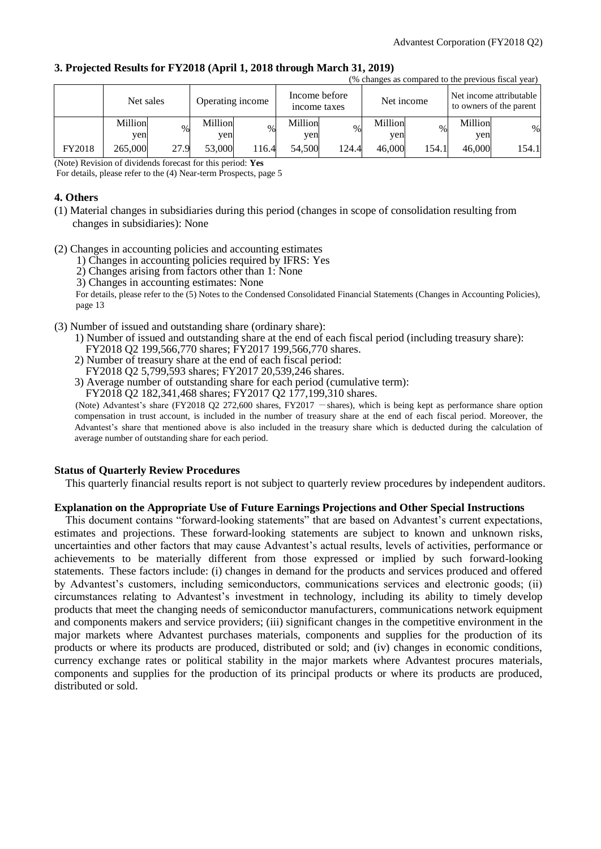#### **3. Projected Results for FY2018 (April 1, 2018 through March 31, 2019)** (% changes as compared to the previous fiscal year)

|        | Net sales      |      | Operating income |       | Income before<br>income taxes |       |                | Net income |                | to changes as compared to the previous risear year)<br>Net income attributable<br>to owners of the parent |
|--------|----------------|------|------------------|-------|-------------------------------|-------|----------------|------------|----------------|-----------------------------------------------------------------------------------------------------------|
|        | Million<br>yen | $\%$ | Million<br>ven   | $\%$  | Million<br>ven                | $\%$  | Million<br>yen | $\%$       | Million<br>yen | $\%$                                                                                                      |
| FY2018 | 265,000        | 27.9 | 53,000           | 116.4 | 54,500                        | 124.4 | 46,000         | 154.1      | 46,000         | 154.1                                                                                                     |

(Note) Revision of dividends forecast for this period: **Yes**

For details, please refer to the (4) Near-term Prospects, page 5

## **4. Others**

- (1) Material changes in subsidiaries during this period (changes in scope of consolidation resulting from changes in subsidiaries): None
- (2) Changes in accounting policies and accounting estimates
	- 1) Changes in accounting policies required by IFRS: Yes
	- 2) Changes arising from factors other than 1: None
	- 3) Changes in accounting estimates: None

For details, please refer to the (5) Notes to the Condensed Consolidated Financial Statements (Changes in Accounting Policies), page 13

- (3) Number of issued and outstanding share (ordinary share):
	- 1) Number of issued and outstanding share at the end of each fiscal period (including treasury share): FY2018 Q2 199,566,770 shares; FY2017 199,566,770 shares.
	- 2) Number of treasury share at the end of each fiscal period: FY2018 Q2 5,799,593 shares; FY2017 20,539,246 shares.
	- 3) Average number of outstanding share for each period (cumulative term):

FY2018 Q2 182,341,468 shares; FY2017 Q2 177,199,310 shares.

(Note) Advantest's share (FY2018 Q2 272,600 shares, FY2017 - shares), which is being kept as performance share option compensation in trust account, is included in the number of treasury share at the end of each fiscal period. Moreover, the Advantest's share that mentioned above is also included in the treasury share which is deducted during the calculation of average number of outstanding share for each period.

## **Status of Quarterly Review Procedures**

This quarterly financial results report is not subject to quarterly review procedures by independent auditors.

#### **Explanation on the Appropriate Use of Future Earnings Projections and Other Special Instructions**

This document contains "forward-looking statements" that are based on Advantest's current expectations, estimates and projections. These forward-looking statements are subject to known and unknown risks, uncertainties and other factors that may cause Advantest's actual results, levels of activities, performance or achievements to be materially different from those expressed or implied by such forward-looking statements. These factors include: (i) changes in demand for the products and services produced and offered by Advantest's customers, including semiconductors, communications services and electronic goods; (ii) circumstances relating to Advantest's investment in technology, including its ability to timely develop products that meet the changing needs of semiconductor manufacturers, communications network equipment and components makers and service providers; (iii) significant changes in the competitive environment in the major markets where Advantest purchases materials, components and supplies for the production of its products or where its products are produced, distributed or sold; and (iv) changes in economic conditions, currency exchange rates or political stability in the major markets where Advantest procures materials, components and supplies for the production of its principal products or where its products are produced, distributed or sold.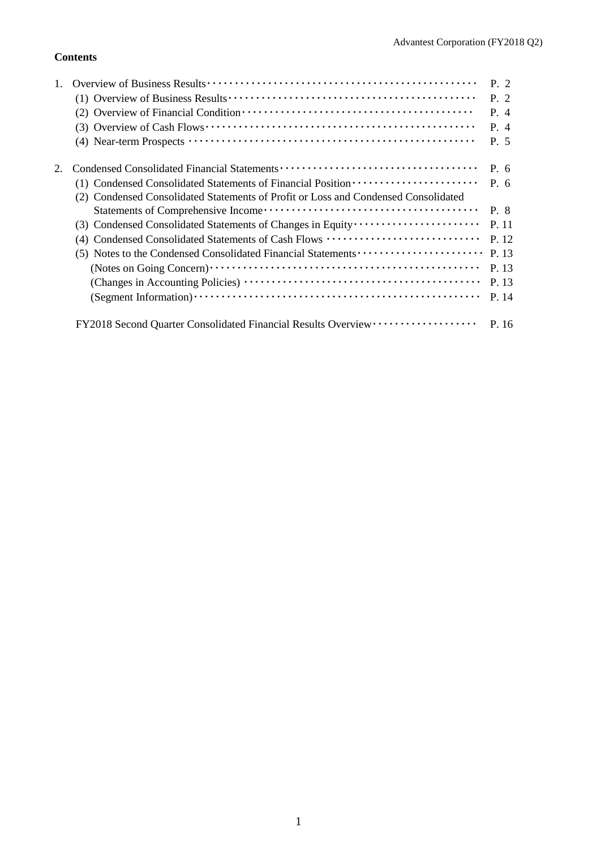## **Contents**

|                                                                                    | P. 2  |
|------------------------------------------------------------------------------------|-------|
|                                                                                    | P.2   |
|                                                                                    | P. 4  |
|                                                                                    | P. 4  |
|                                                                                    | P. 5  |
|                                                                                    | P. 6  |
| (1) Condensed Consolidated Statements of Financial Position ·····················  | P. 6  |
| (2) Condensed Consolidated Statements of Profit or Loss and Condensed Consolidated |       |
|                                                                                    | P. 8  |
|                                                                                    | P. 11 |
| (4) Condensed Consolidated Statements of Cash Flows                                | P. 12 |
| (5) Notes to the Condensed Consolidated Financial Statements                       | P. 13 |
|                                                                                    | P. 13 |
|                                                                                    | P. 13 |
|                                                                                    | P. 14 |
| FY2018 Second Quarter Consolidated Financial Results Overview ··················   | P. 16 |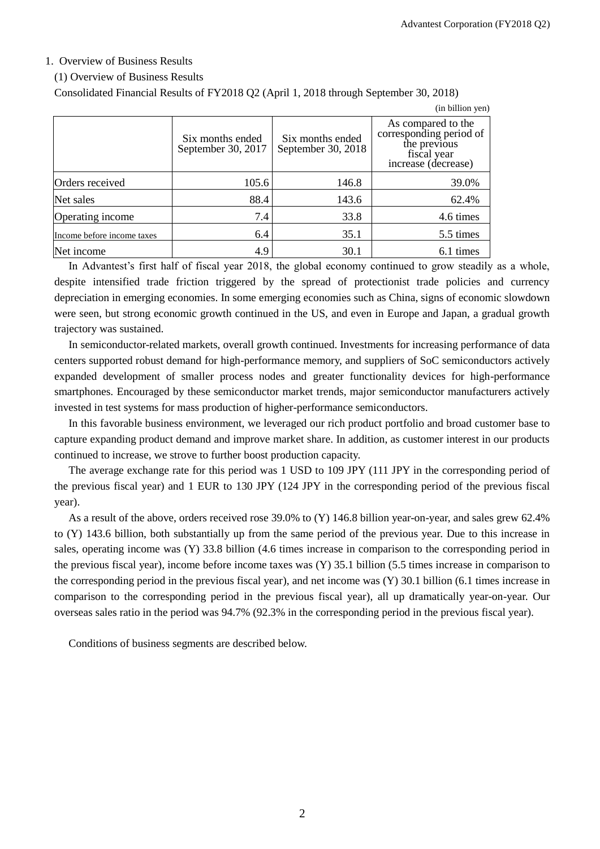## 1. Overview of Business Results

#### (1) Overview of Business Results

Consolidated Financial Results of FY2018 Q2 (April 1, 2018 through September 30, 2018)

|                            |                                        |                                        | (in billion yen)                                                                                    |
|----------------------------|----------------------------------------|----------------------------------------|-----------------------------------------------------------------------------------------------------|
|                            | Six months ended<br>September 30, 2017 | Six months ended<br>September 30, 2018 | As compared to the<br>corresponding period of<br>the previous<br>fiscal year<br>increase (decrease) |
| Orders received            | 105.6                                  | 146.8                                  | 39.0%                                                                                               |
| Net sales                  | 88.4                                   | 143.6                                  | 62.4%                                                                                               |
| Operating income           | 7.4                                    | 33.8                                   | 4.6 times                                                                                           |
| Income before income taxes | 6.4                                    | 35.1                                   | 5.5 times                                                                                           |
| Net income                 | 4.9                                    | 30.1                                   | 6.1 times                                                                                           |

In Advantest's first half of fiscal year 2018, the global economy continued to grow steadily as a whole, despite intensified trade friction triggered by the spread of protectionist trade policies and currency depreciation in emerging economies. In some emerging economies such as China, signs of economic slowdown were seen, but strong economic growth continued in the US, and even in Europe and Japan, a gradual growth trajectory was sustained.

In semiconductor-related markets, overall growth continued. Investments for increasing performance of data centers supported robust demand for high-performance memory, and suppliers of SoC semiconductors actively expanded development of smaller process nodes and greater functionality devices for high-performance smartphones. Encouraged by these semiconductor market trends, major semiconductor manufacturers actively invested in test systems for mass production of higher-performance semiconductors.

In this favorable business environment, we leveraged our rich product portfolio and broad customer base to capture expanding product demand and improve market share. In addition, as customer interest in our products continued to increase, we strove to further boost production capacity.

The average exchange rate for this period was 1 USD to 109 JPY (111 JPY in the corresponding period of the previous fiscal year) and 1 EUR to 130 JPY (124 JPY in the corresponding period of the previous fiscal year).

As a result of the above, orders received rose 39.0% to (Y) 146.8 billion year-on-year, and sales grew 62.4% to (Y) 143.6 billion, both substantially up from the same period of the previous year. Due to this increase in sales, operating income was (Y) 33.8 billion (4.6 times increase in comparison to the corresponding period in the previous fiscal year), income before income taxes was (Y) 35.1 billion (5.5 times increase in comparison to the corresponding period in the previous fiscal year), and net income was (Y) 30.1 billion (6.1 times increase in comparison to the corresponding period in the previous fiscal year), all up dramatically year-on-year. Our overseas sales ratio in the period was 94.7% (92.3% in the corresponding period in the previous fiscal year).

Conditions of business segments are described below.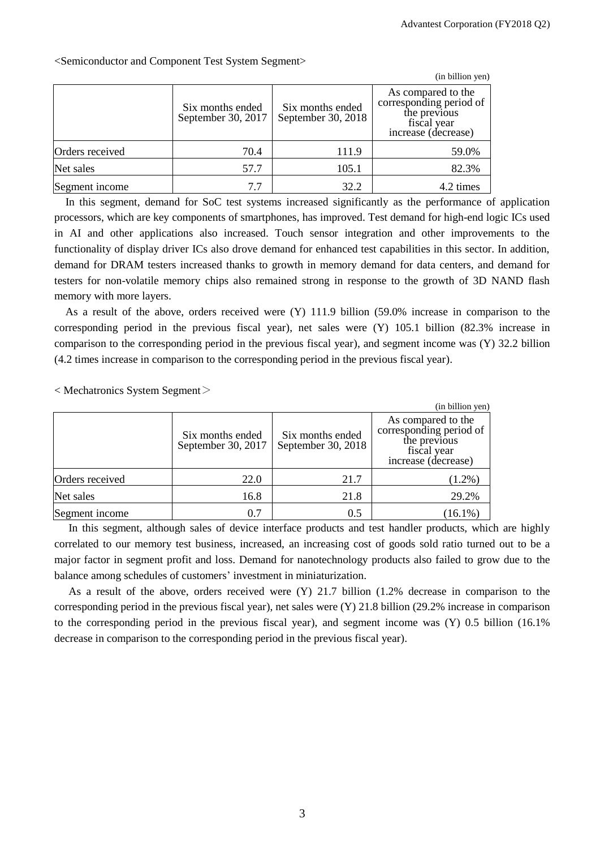|                 |                                        |                                        | (in billion yen)                                                                                    |
|-----------------|----------------------------------------|----------------------------------------|-----------------------------------------------------------------------------------------------------|
|                 | Six months ended<br>September 30, 2017 | Six months ended<br>September 30, 2018 | As compared to the<br>corresponding period of<br>the previous<br>fiscal year<br>increase (decrease) |
| Orders received | 70.4                                   | 111.9                                  | 59.0%                                                                                               |
| Net sales       | 57.7                                   | 105.1                                  | 82.3%                                                                                               |
| Segment income  | 7.7                                    | 32.2                                   | 4.2 times                                                                                           |

<Semiconductor and Component Test System Segment>

In this segment, demand for SoC test systems increased significantly as the performance of application processors, which are key components of smartphones, has improved. Test demand for high-end logic ICs used in AI and other applications also increased. Touch sensor integration and other improvements to the functionality of display driver ICs also drove demand for enhanced test capabilities in this sector. In addition, demand for DRAM testers increased thanks to growth in memory demand for data centers, and demand for testers for non-volatile memory chips also remained strong in response to the growth of 3D NAND flash memory with more layers.

As a result of the above, orders received were (Y) 111.9 billion (59.0% increase in comparison to the corresponding period in the previous fiscal year), net sales were (Y) 105.1 billion (82.3% increase in comparison to the corresponding period in the previous fiscal year), and segment income was (Y) 32.2 billion (4.2 times increase in comparison to the corresponding period in the previous fiscal year).

< Mechatronics System Segment>

|                 |                                        |                                        | (in billion yen)                                                                                    |
|-----------------|----------------------------------------|----------------------------------------|-----------------------------------------------------------------------------------------------------|
|                 | Six months ended<br>September 30, 2017 | Six months ended<br>September 30, 2018 | As compared to the<br>corresponding period of<br>the previous<br>fiscal year<br>increase (decrease) |
| Orders received | 22.0                                   | 21.7                                   | $(1.2\%)$                                                                                           |
| Net sales       | 16.8                                   | 21.8                                   | 29.2%                                                                                               |
| Segment income  | 0.7                                    | 0.5                                    | $(16.1\%)$                                                                                          |

In this segment, although sales of device interface products and test handler products, which are highly correlated to our memory test business, increased, an increasing cost of goods sold ratio turned out to be a major factor in segment profit and loss. Demand for nanotechnology products also failed to grow due to the balance among schedules of customers' investment in miniaturization.

As a result of the above, orders received were (Y) 21.7 billion (1.2% decrease in comparison to the corresponding period in the previous fiscal year), net sales were (Y) 21.8 billion (29.2% increase in comparison to the corresponding period in the previous fiscal year), and segment income was (Y) 0.5 billion (16.1% decrease in comparison to the corresponding period in the previous fiscal year).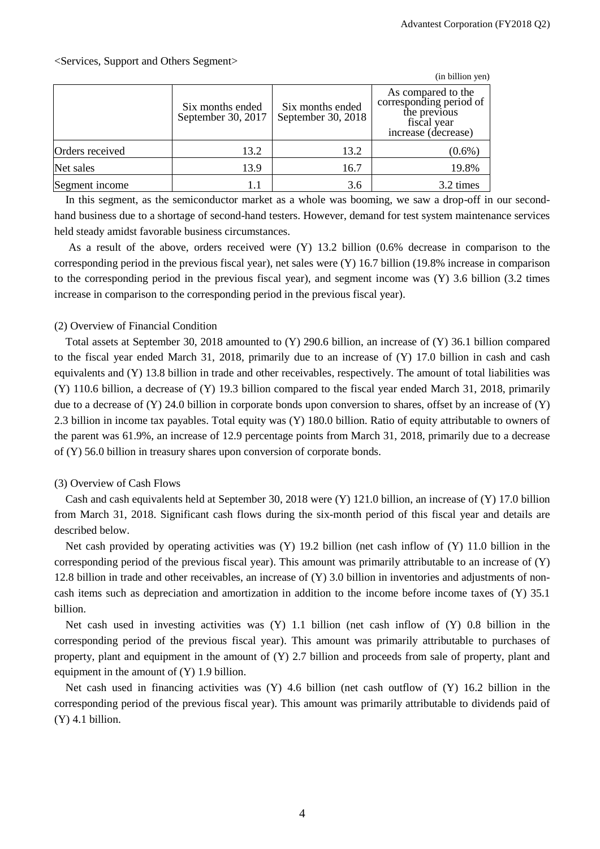## <Services, Support and Others Segment>

|                 |                                        |                                        | (in billion yen)                                                                                    |
|-----------------|----------------------------------------|----------------------------------------|-----------------------------------------------------------------------------------------------------|
|                 | Six months ended<br>September 30, 2017 | Six months ended<br>September 30, 2018 | As compared to the<br>corresponding period of<br>the previous<br>fiscal year<br>increase (decrease) |
| Orders received | 13.2                                   | 13.2                                   | $(0.6\%)$                                                                                           |
| Net sales       | 13.9                                   | 16.7                                   | 19.8%                                                                                               |
| Segment income  | 1.1                                    | 3.6                                    | 3.2 times                                                                                           |

In this segment, as the semiconductor market as a whole was booming, we saw a drop-off in our secondhand business due to a shortage of second-hand testers. However, demand for test system maintenance services held steady amidst favorable business circumstances.

As a result of the above, orders received were (Y) 13.2 billion (0.6% decrease in comparison to the corresponding period in the previous fiscal year), net sales were (Y) 16.7 billion (19.8% increase in comparison to the corresponding period in the previous fiscal year), and segment income was (Y) 3.6 billion (3.2 times increase in comparison to the corresponding period in the previous fiscal year).

## (2) Overview of Financial Condition

Total assets at September 30, 2018 amounted to (Y) 290.6 billion, an increase of (Y) 36.1 billion compared to the fiscal year ended March 31, 2018, primarily due to an increase of (Y) 17.0 billion in cash and cash equivalents and (Y) 13.8 billion in trade and other receivables, respectively. The amount of total liabilities was (Y) 110.6 billion, a decrease of (Y) 19.3 billion compared to the fiscal year ended March 31, 2018, primarily due to a decrease of  $(Y)$  24.0 billion in corporate bonds upon conversion to shares, offset by an increase of  $(Y)$ 2.3 billion in income tax payables. Total equity was (Y) 180.0 billion. Ratio of equity attributable to owners of the parent was 61.9%, an increase of 12.9 percentage points from March 31, 2018, primarily due to a decrease of (Y) 56.0 billion in treasury shares upon conversion of corporate bonds.

## (3) Overview of Cash Flows

Cash and cash equivalents held at September 30, 2018 were (Y) 121.0 billion, an increase of (Y) 17.0 billion from March 31, 2018. Significant cash flows during the six-month period of this fiscal year and details are described below.

Net cash provided by operating activities was  $(Y)$  19.2 billion (net cash inflow of  $(Y)$  11.0 billion in the corresponding period of the previous fiscal year). This amount was primarily attributable to an increase of (Y) 12.8 billion in trade and other receivables, an increase of (Y) 3.0 billion in inventories and adjustments of noncash items such as depreciation and amortization in addition to the income before income taxes of (Y) 35.1 billion.

Net cash used in investing activities was (Y) 1.1 billion (net cash inflow of (Y) 0.8 billion in the corresponding period of the previous fiscal year). This amount was primarily attributable to purchases of property, plant and equipment in the amount of (Y) 2.7 billion and proceeds from sale of property, plant and equipment in the amount of (Y) 1.9 billion.

Net cash used in financing activities was (Y) 4.6 billion (net cash outflow of (Y) 16.2 billion in the corresponding period of the previous fiscal year). This amount was primarily attributable to dividends paid of  $(Y)$  4.1 billion.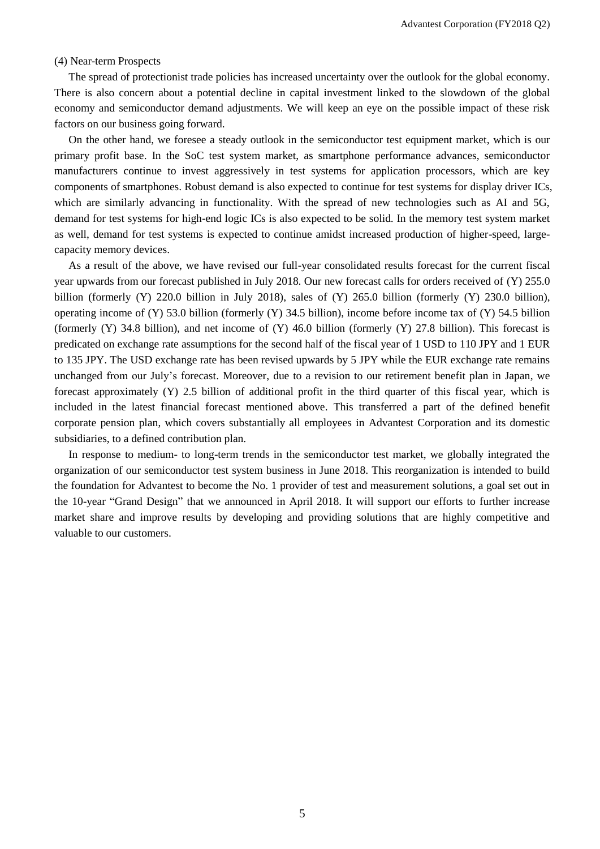#### (4) Near-term Prospects

The spread of protectionist trade policies has increased uncertainty over the outlook for the global economy. There is also concern about a potential decline in capital investment linked to the slowdown of the global economy and semiconductor demand adjustments. We will keep an eye on the possible impact of these risk factors on our business going forward.

On the other hand, we foresee a steady outlook in the semiconductor test equipment market, which is our primary profit base. In the SoC test system market, as smartphone performance advances, semiconductor manufacturers continue to invest aggressively in test systems for application processors, which are key components of smartphones. Robust demand is also expected to continue for test systems for display driver ICs, which are similarly advancing in functionality. With the spread of new technologies such as AI and 5G, demand for test systems for high-end logic ICs is also expected to be solid. In the memory test system market as well, demand for test systems is expected to continue amidst increased production of higher-speed, largecapacity memory devices.

As a result of the above, we have revised our full-year consolidated results forecast for the current fiscal year upwards from our forecast published in July 2018. Our new forecast calls for orders received of (Y) 255.0 billion (formerly (Y) 220.0 billion in July 2018), sales of (Y) 265.0 billion (formerly (Y) 230.0 billion), operating income of (Y) 53.0 billion (formerly (Y) 34.5 billion), income before income tax of (Y) 54.5 billion (formerly  $(Y)$  34.8 billion), and net income of  $(Y)$  46.0 billion (formerly  $(Y)$  27.8 billion). This forecast is predicated on exchange rate assumptions for the second half of the fiscal year of 1 USD to 110 JPY and 1 EUR to 135 JPY. The USD exchange rate has been revised upwards by 5 JPY while the EUR exchange rate remains unchanged from our July's forecast. Moreover, due to a revision to our retirement benefit plan in Japan, we forecast approximately (Y) 2.5 billion of additional profit in the third quarter of this fiscal year, which is included in the latest financial forecast mentioned above. This transferred a part of the defined benefit corporate pension plan, which covers substantially all employees in Advantest Corporation and its domestic subsidiaries, to a defined contribution plan.

In response to medium- to long-term trends in the semiconductor test market, we globally integrated the organization of our semiconductor test system business in June 2018. This reorganization is intended to build the foundation for Advantest to become the No. 1 provider of test and measurement solutions, a goal set out in the 10-year "Grand Design" that we announced in April 2018. It will support our efforts to further increase market share and improve results by developing and providing solutions that are highly competitive and valuable to our customers.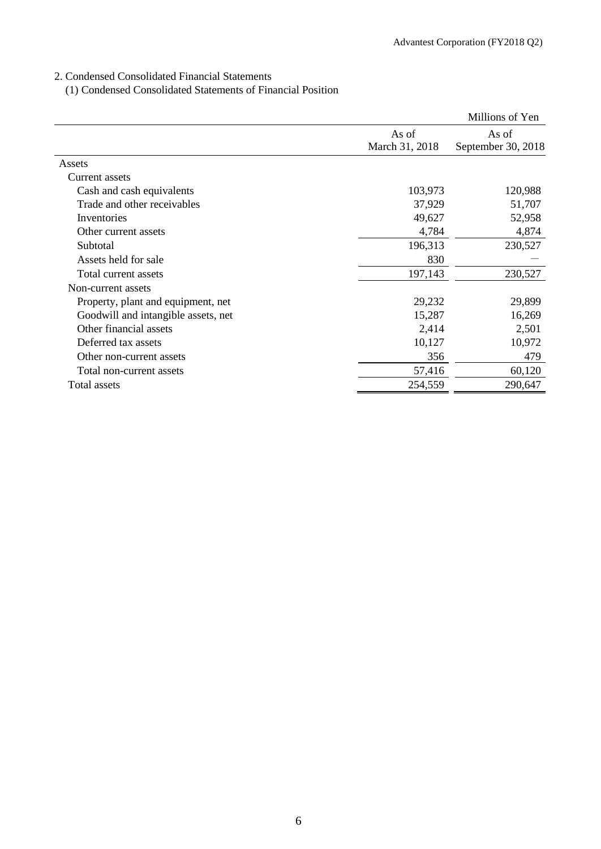## 2. Condensed Consolidated Financial Statements

(1) Condensed Consolidated Statements of Financial Position

|                                     |                | Millions of Yen    |
|-------------------------------------|----------------|--------------------|
|                                     | As of          | As of              |
|                                     | March 31, 2018 | September 30, 2018 |
| Assets                              |                |                    |
| Current assets                      |                |                    |
| Cash and cash equivalents           | 103,973        | 120,988            |
| Trade and other receivables         | 37,929         | 51,707             |
| Inventories                         | 49,627         | 52,958             |
| Other current assets                | 4,784          | 4,874              |
| Subtotal                            | 196,313        | 230,527            |
| Assets held for sale                | 830            |                    |
| Total current assets                | 197,143        | 230,527            |
| Non-current assets                  |                |                    |
| Property, plant and equipment, net  | 29,232         | 29,899             |
| Goodwill and intangible assets, net | 15,287         | 16,269             |
| Other financial assets              | 2,414          | 2,501              |
| Deferred tax assets                 | 10,127         | 10,972             |
| Other non-current assets            | 356            | 479                |
| Total non-current assets            | 57,416         | 60,120             |
| Total assets                        | 254,559        | 290,647            |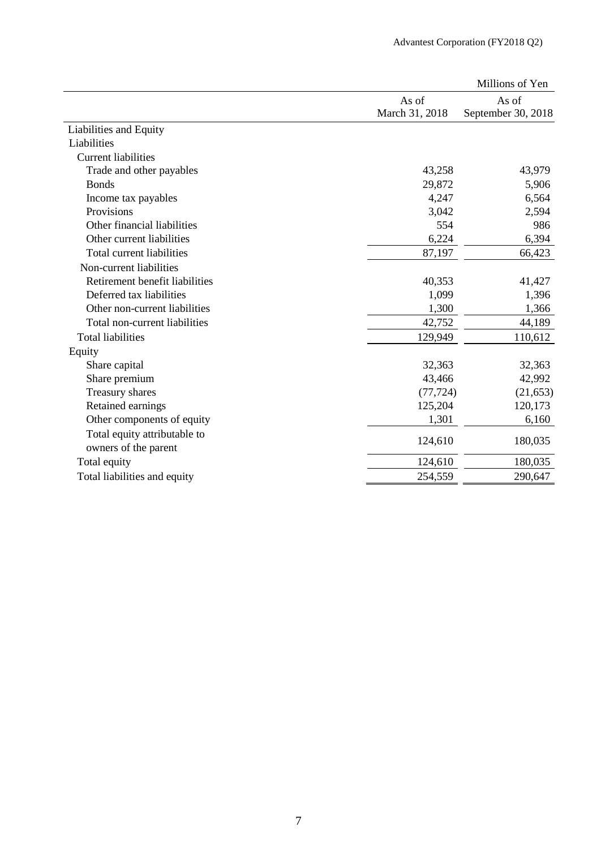|                                |                | Millions of Yen    |
|--------------------------------|----------------|--------------------|
|                                | As of          | As of              |
|                                | March 31, 2018 | September 30, 2018 |
| Liabilities and Equity         |                |                    |
| Liabilities                    |                |                    |
| <b>Current liabilities</b>     |                |                    |
| Trade and other payables       | 43,258         | 43,979             |
| <b>Bonds</b>                   | 29,872         | 5,906              |
| Income tax payables            | 4,247          | 6,564              |
| Provisions                     | 3,042          | 2,594              |
| Other financial liabilities    | 554            | 986                |
| Other current liabilities      | 6,224          | 6,394              |
| Total current liabilities      | 87,197         | 66,423             |
| Non-current liabilities        |                |                    |
| Retirement benefit liabilities | 40,353         | 41,427             |
| Deferred tax liabilities       | 1,099          | 1,396              |
| Other non-current liabilities  | 1,300          | 1,366              |
| Total non-current liabilities  | 42,752         | 44,189             |
| <b>Total liabilities</b>       | 129,949        | 110,612            |
| Equity                         |                |                    |
| Share capital                  | 32,363         | 32,363             |
| Share premium                  | 43,466         | 42,992             |
| Treasury shares                | (77, 724)      | (21, 653)          |
| Retained earnings              | 125,204        | 120,173            |
| Other components of equity     | 1,301          | 6,160              |
| Total equity attributable to   |                |                    |
| owners of the parent           | 124,610        | 180,035            |
| Total equity                   | 124,610        | 180,035            |
| Total liabilities and equity   | 254,559        | 290,647            |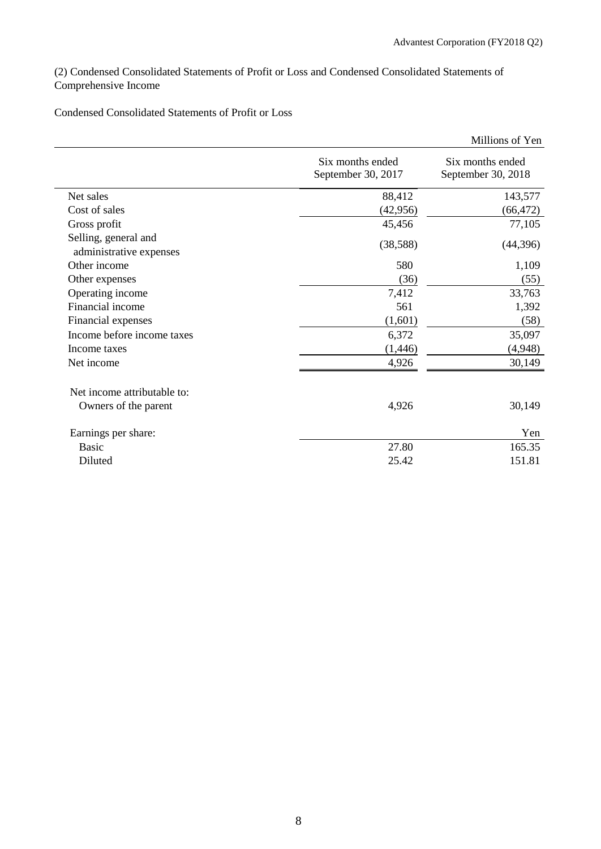(2) Condensed Consolidated Statements of Profit or Loss and Condensed Consolidated Statements of Comprehensive Income

Condensed Consolidated Statements of Profit or Loss

|                                                 |                                        | Millions of Yen                        |
|-------------------------------------------------|----------------------------------------|----------------------------------------|
|                                                 | Six months ended<br>September 30, 2017 | Six months ended<br>September 30, 2018 |
| Net sales                                       | 88,412                                 | 143,577                                |
| Cost of sales                                   | (42, 956)                              | (66,472)                               |
| Gross profit                                    | 45,456                                 | 77,105                                 |
| Selling, general and<br>administrative expenses | (38, 588)                              | (44, 396)                              |
| Other income                                    | 580                                    | 1,109                                  |
| Other expenses                                  | (36)                                   | (55)                                   |
| Operating income                                | 7,412                                  | 33,763                                 |
| Financial income                                | 561                                    | 1,392                                  |
| Financial expenses                              | (1,601)                                | (58)                                   |
| Income before income taxes                      | 6,372                                  | 35,097                                 |
| Income taxes                                    | (1, 446)                               | (4,948)                                |
| Net income                                      | 4,926                                  | 30,149                                 |
| Net income attributable to:                     |                                        |                                        |
| Owners of the parent                            | 4,926                                  | 30,149                                 |
| Earnings per share:                             |                                        | Yen                                    |
| <b>Basic</b>                                    | 27.80                                  | 165.35                                 |
| Diluted                                         | 25.42                                  | 151.81                                 |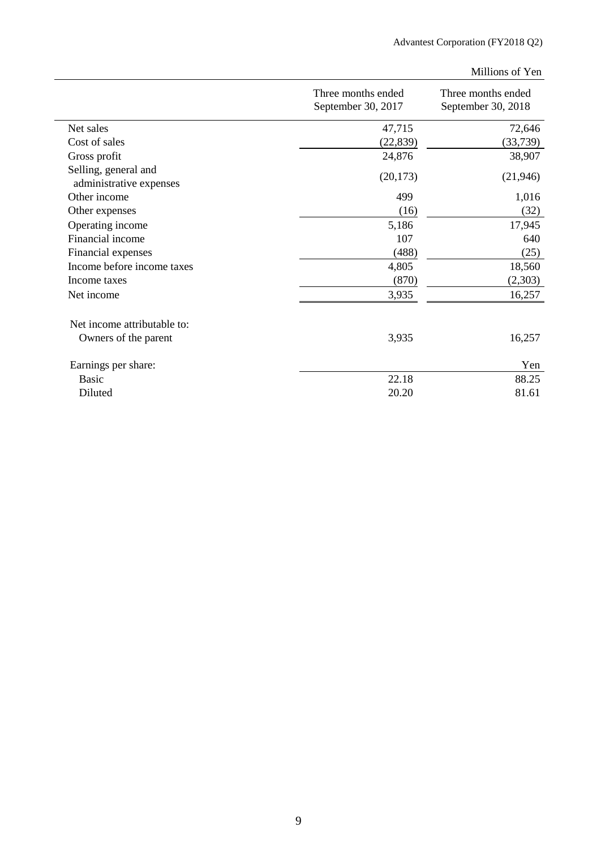Millions of Yen

|                                                 | Three months ended<br>September 30, 2017 | Three months ended<br>September 30, 2018 |
|-------------------------------------------------|------------------------------------------|------------------------------------------|
| Net sales                                       | 47,715                                   | 72,646                                   |
| Cost of sales                                   | (22, 839)                                | (33, 739)                                |
| Gross profit                                    | 24,876                                   | 38,907                                   |
| Selling, general and<br>administrative expenses | (20, 173)                                | (21, 946)                                |
| Other income                                    | 499                                      | 1,016                                    |
| Other expenses                                  | (16)                                     | (32)                                     |
| Operating income                                | 5,186                                    | 17,945                                   |
| Financial income                                | 107                                      | 640                                      |
| Financial expenses                              | (488)                                    | (25)                                     |
| Income before income taxes                      | 4,805                                    | 18,560                                   |
| Income taxes                                    | (870)                                    | (2,303)                                  |
| Net income                                      | 3,935                                    | 16,257                                   |
| Net income attributable to:                     |                                          |                                          |
| Owners of the parent                            | 3,935                                    | 16,257                                   |
| Earnings per share:                             |                                          | Yen                                      |
| Basic                                           | 22.18                                    | 88.25                                    |
| Diluted                                         | 20.20                                    | 81.61                                    |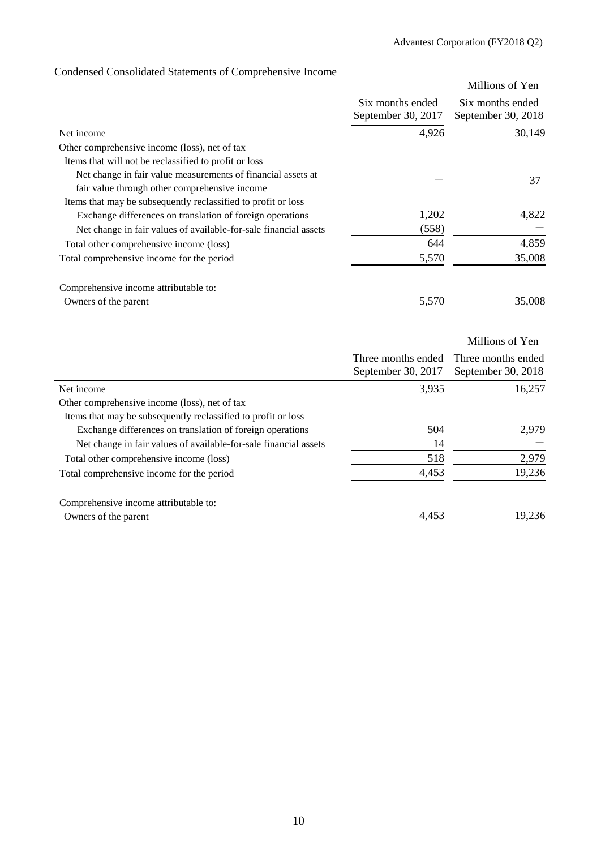|                                                                  |                                        | Millions of Yen                        |
|------------------------------------------------------------------|----------------------------------------|----------------------------------------|
|                                                                  | Six months ended<br>September 30, 2017 | Six months ended<br>September 30, 2018 |
| Net income                                                       | 4,926                                  | 30,149                                 |
| Other comprehensive income (loss), net of tax                    |                                        |                                        |
| Items that will not be reclassified to profit or loss            |                                        |                                        |
| Net change in fair value measurements of financial assets at     |                                        | 37                                     |
| fair value through other comprehensive income                    |                                        |                                        |
| Items that may be subsequently reclassified to profit or loss    |                                        |                                        |
| Exchange differences on translation of foreign operations        | 1,202                                  | 4,822                                  |
| Net change in fair values of available-for-sale financial assets | (558)                                  |                                        |
| Total other comprehensive income (loss)                          | 644                                    | 4,859                                  |
| Total comprehensive income for the period                        | 5,570                                  | 35,008                                 |
| Comprehensive income attributable to:                            |                                        |                                        |
| Owners of the parent                                             | 5,570                                  | 35,008                                 |
|                                                                  |                                        | Millions of Yen                        |
|                                                                  | Three months ended                     | Three months ended                     |
|                                                                  | September 30, 2017                     | September 30, 2018                     |
| Net income                                                       | 3,935                                  | 16,257                                 |
| Other comprehensive income (loss), net of tax                    |                                        |                                        |
| Items that may be subsequently reclassified to profit or loss    |                                        |                                        |
| Exchange differences on translation of foreign operations        | 504                                    | 2,979                                  |
| Net change in fair values of available-for-sale financial assets | 14                                     |                                        |
| Total other comprehensive income (loss)                          | 518                                    | 2,979                                  |
| Total comprehensive income for the period                        | 4,453                                  | 19,236                                 |

## Condensed Consolidated Statements of Comprehensive Income

| 4.453 | 19,236 |
|-------|--------|
|       |        |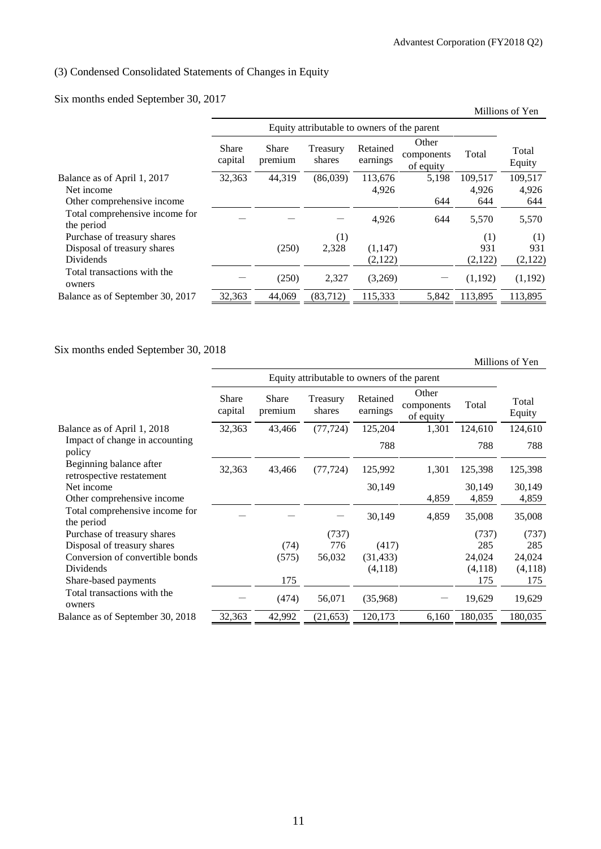## (3) Condensed Consolidated Statements of Changes in Equity

## Six months ended September 30, 2017

| $\ldots$                                     |                         |                                             |                    |                      |                                  |         | Millions of Yen |
|----------------------------------------------|-------------------------|---------------------------------------------|--------------------|----------------------|----------------------------------|---------|-----------------|
|                                              |                         | Equity attributable to owners of the parent |                    |                      |                                  |         |                 |
|                                              | <b>Share</b><br>capital | <b>Share</b><br>premium                     | Treasury<br>shares | Retained<br>earnings | Other<br>components<br>of equity | Total   | Total<br>Equity |
| Balance as of April 1, 2017                  | 32,363                  | 44,319                                      | (86,039)           | 113.676              | 5,198                            | 109,517 | 109,517         |
| Net income                                   |                         |                                             |                    | 4,926                |                                  | 4,926   | 4,926           |
| Other comprehensive income                   |                         |                                             |                    |                      | 644                              | 644     | 644             |
| Total comprehensive income for<br>the period |                         |                                             |                    | 4,926                | 644                              | 5,570   | 5,570           |
| Purchase of treasury shares                  |                         |                                             | (1)                |                      |                                  | (1)     | (1)             |
| Disposal of treasury shares                  |                         | (250)                                       | 2,328              | (1,147)              |                                  | 931     | 931             |
| <b>Dividends</b>                             |                         |                                             |                    | (2,122)              |                                  | (2,122) | (2,122)         |
| Total transactions with the<br>owners        |                         | (250)                                       | 2,327              | (3,269)              |                                  | (1,192) | (1,192)         |
| Balance as of September 30, 2017             | 32,363                  | 44,069                                      | (83,712)           | 115,333              | 5.842                            | 113,895 | 113,895         |

## Six months ended September 30, 2018

Millions of Yen

|                                                      |                         | Equity attributable to owners of the parent |                    |                      |                                  |         |                 |
|------------------------------------------------------|-------------------------|---------------------------------------------|--------------------|----------------------|----------------------------------|---------|-----------------|
|                                                      | <b>Share</b><br>capital | <b>Share</b><br>premium                     | Treasury<br>shares | Retained<br>earnings | Other<br>components<br>of equity | Total   | Total<br>Equity |
| Balance as of April 1, 2018                          | 32,363                  | 43,466                                      | (77, 724)          | 125,204              | 1,301                            | 124,610 | 124,610         |
| Impact of change in accounting<br>policy             |                         |                                             |                    | 788                  |                                  | 788     | 788             |
| Beginning balance after<br>retrospective restatement | 32,363                  | 43,466                                      | (77, 724)          | 125,992              | 1,301                            | 125,398 | 125,398         |
| Net income                                           |                         |                                             |                    | 30,149               |                                  | 30,149  | 30,149          |
| Other comprehensive income                           |                         |                                             |                    |                      | 4,859                            | 4,859   | 4,859           |
| Total comprehensive income for<br>the period         |                         |                                             |                    | 30,149               | 4,859                            | 35,008  | 35,008          |
| Purchase of treasury shares                          |                         |                                             | (737)              |                      |                                  | (737)   | (737)           |
| Disposal of treasury shares                          |                         | (74)                                        | 776                | (417)                |                                  | 285     | 285             |
| Conversion of convertible bonds                      |                         | (575)                                       | 56,032             | (31, 433)            |                                  | 24,024  | 24,024          |
| Dividends                                            |                         |                                             |                    | (4,118)              |                                  | (4,118) | (4,118)         |
| Share-based payments                                 |                         | 175                                         |                    |                      |                                  | 175     | 175             |
| Total transactions with the<br>owners                |                         | (474)                                       | 56,071             | (35,968)             |                                  | 19,629  | 19,629          |
| Balance as of September 30, 2018                     | 32,363                  | 42,992                                      | (21, 653)          | 120,173              | 6,160                            | 180,035 | 180,035         |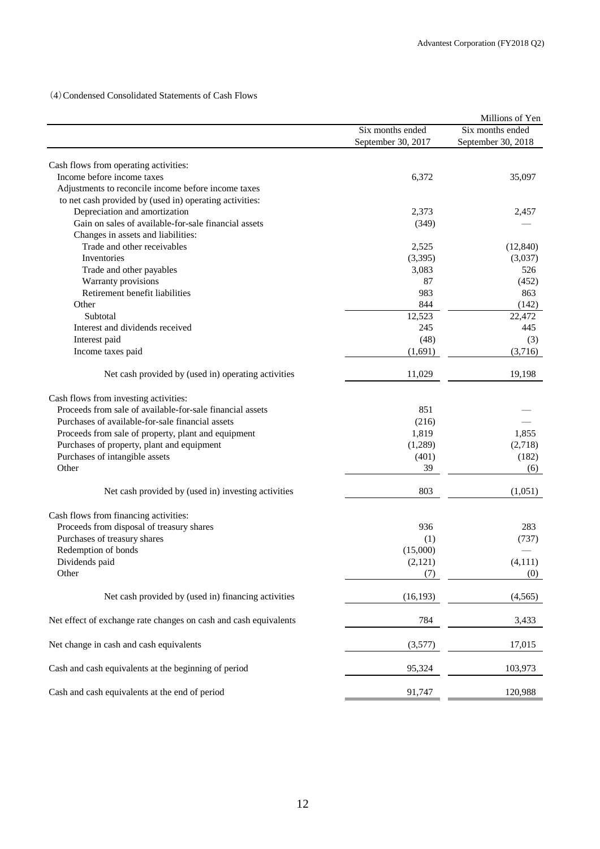(4)Condensed Consolidated Statements of Cash Flows

|                                                                     |                    | Millions of Yen    |
|---------------------------------------------------------------------|--------------------|--------------------|
|                                                                     | Six months ended   | Six months ended   |
|                                                                     | September 30, 2017 | September 30, 2018 |
|                                                                     |                    |                    |
| Cash flows from operating activities:<br>Income before income taxes |                    |                    |
|                                                                     | 6,372              | 35,097             |
| Adjustments to reconcile income before income taxes                 |                    |                    |
| to net cash provided by (used in) operating activities:             |                    |                    |
| Depreciation and amortization                                       | 2,373              | 2,457              |
| Gain on sales of available-for-sale financial assets                | (349)              |                    |
| Changes in assets and liabilities:                                  |                    |                    |
| Trade and other receivables                                         | 2,525              | (12, 840)          |
| Inventories                                                         | (3,395)            | (3,037)            |
| Trade and other payables                                            | 3,083              | 526                |
| Warranty provisions                                                 | 87                 | (452)              |
| Retirement benefit liabilities                                      | 983                | 863                |
| Other                                                               | 844                | (142)              |
| Subtotal                                                            | 12,523             | 22,472             |
| Interest and dividends received                                     | 245                | 445                |
| Interest paid                                                       | (48)               | (3)                |
| Income taxes paid                                                   | (1,691)            | (3,716)            |
| Net cash provided by (used in) operating activities                 | 11,029             | 19,198             |
| Cash flows from investing activities:                               |                    |                    |
| Proceeds from sale of available-for-sale financial assets           | 851                |                    |
| Purchases of available-for-sale financial assets                    | (216)              |                    |
| Proceeds from sale of property, plant and equipment                 | 1,819              | 1,855              |
| Purchases of property, plant and equipment                          | (1,289)            | (2,718)            |
| Purchases of intangible assets                                      | (401)              | (182)              |
| Other                                                               | 39                 | (6)                |
| Net cash provided by (used in) investing activities                 | 803                | (1,051)            |
|                                                                     |                    |                    |
| Cash flows from financing activities:                               |                    |                    |
| Proceeds from disposal of treasury shares                           | 936                | 283                |
| Purchases of treasury shares                                        | (1)                | (737)              |
| Redemption of bonds                                                 | (15,000)           |                    |
| Dividends paid                                                      | (2,121)            | (4, 111)           |
| Other                                                               | (7)                | (0)                |
| Net cash provided by (used in) financing activities                 | (16, 193)          | (4, 565)           |
| Net effect of exchange rate changes on cash and cash equivalents    | 784                | 3,433              |
| Net change in cash and cash equivalents                             | (3,577)            | 17,015             |
| Cash and cash equivalents at the beginning of period                | 95,324             | 103,973            |
| Cash and cash equivalents at the end of period                      | 91,747             | 120,988            |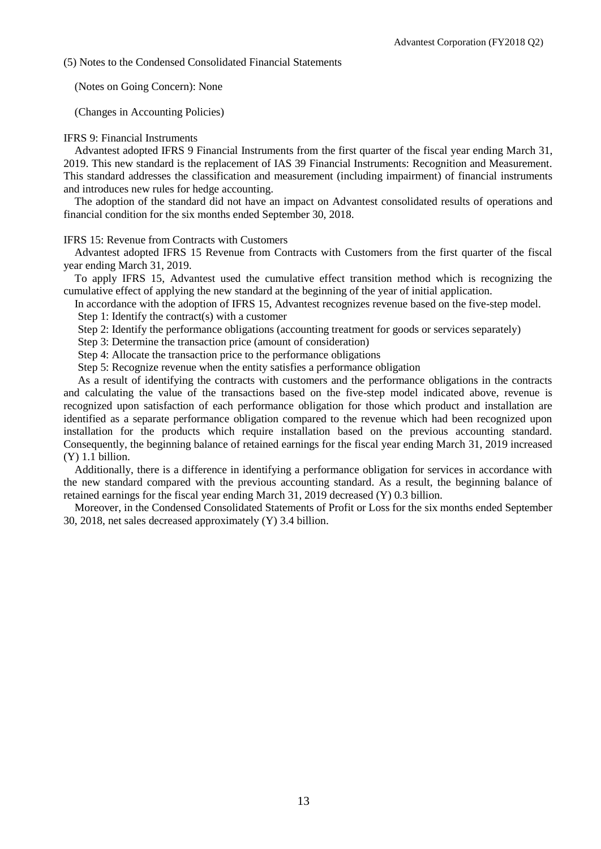(5) Notes to the Condensed Consolidated Financial Statements

(Notes on Going Concern): None

(Changes in Accounting Policies)

### IFRS 9: Financial Instruments

Advantest adopted IFRS 9 Financial Instruments from the first quarter of the fiscal year ending March 31, 2019. This new standard is the replacement of IAS 39 Financial Instruments: Recognition and Measurement. This standard addresses the classification and measurement (including impairment) of financial instruments and introduces new rules for hedge accounting.

The adoption of the standard did not have an impact on Advantest consolidated results of operations and financial condition for the six months ended September 30, 2018.

#### IFRS 15: Revenue from Contracts with Customers

Advantest adopted IFRS 15 Revenue from Contracts with Customers from the first quarter of the fiscal year ending March 31, 2019.

To apply IFRS 15, Advantest used the cumulative effect transition method which is recognizing the cumulative effect of applying the new standard at the beginning of the year of initial application.

In accordance with the adoption of IFRS 15, Advantest recognizes revenue based on the five-step model.

Step 1: Identify the contract(s) with a customer

Step 2: Identify the performance obligations (accounting treatment for goods or services separately)

Step 3: Determine the transaction price (amount of consideration)

Step 4: Allocate the transaction price to the performance obligations

Step 5: Recognize revenue when the entity satisfies a performance obligation

As a result of identifying the contracts with customers and the performance obligations in the contracts and calculating the value of the transactions based on the five-step model indicated above, revenue is recognized upon satisfaction of each performance obligation for those which product and installation are identified as a separate performance obligation compared to the revenue which had been recognized upon installation for the products which require installation based on the previous accounting standard. Consequently, the beginning balance of retained earnings for the fiscal year ending March 31, 2019 increased (Y) 1.1 billion.

Additionally, there is a difference in identifying a performance obligation for services in accordance with the new standard compared with the previous accounting standard. As a result, the beginning balance of retained earnings for the fiscal year ending March 31, 2019 decreased (Y) 0.3 billion.

Moreover, in the Condensed Consolidated Statements of Profit or Loss for the six months ended September 30, 2018, net sales decreased approximately (Y) 3.4 billion.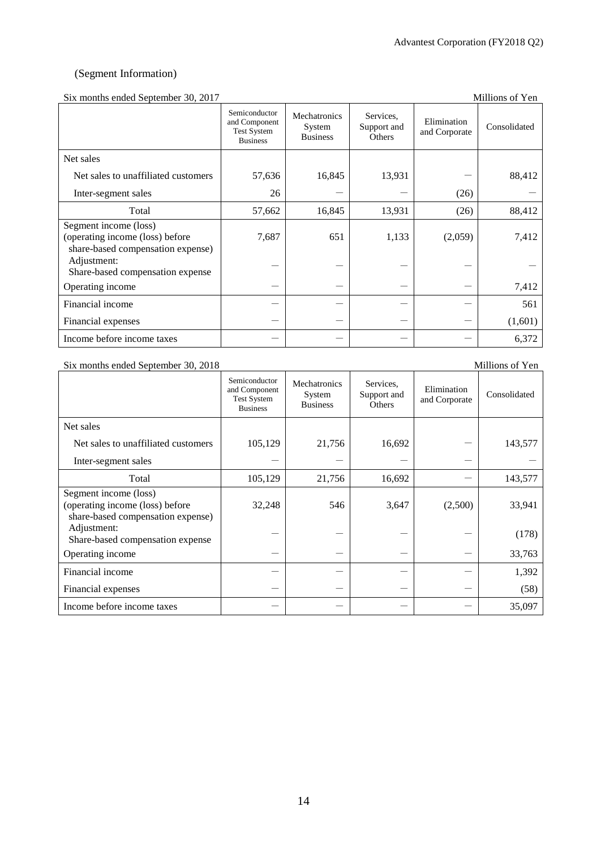## (Segment Information)

## Six months ended September 30, 2017 Millions of Yen

| $\mu$ . Thomas chucu beptember 50, 2017                                                       |                                                                         |                                           |                                    |                              | 111111101119 01 1 01 1 |
|-----------------------------------------------------------------------------------------------|-------------------------------------------------------------------------|-------------------------------------------|------------------------------------|------------------------------|------------------------|
|                                                                                               | Semiconductor<br>and Component<br><b>Test System</b><br><b>Business</b> | Mechatronics<br>System<br><b>Business</b> | Services.<br>Support and<br>Others | Elimination<br>and Corporate | Consolidated           |
| Net sales                                                                                     |                                                                         |                                           |                                    |                              |                        |
| Net sales to unaffiliated customers                                                           | 57,636                                                                  | 16,845                                    | 13,931                             |                              | 88,412                 |
| Inter-segment sales                                                                           | 26                                                                      |                                           |                                    | (26)                         |                        |
| Total                                                                                         | 57,662                                                                  | 16,845                                    | 13,931                             | (26)                         | 88,412                 |
| Segment income (loss)<br>(operating income (loss) before<br>share-based compensation expense) | 7,687                                                                   | 651                                       | 1,133                              | (2,059)                      | 7,412                  |
| Adjustment:<br>Share-based compensation expense                                               |                                                                         |                                           |                                    |                              |                        |
| Operating income                                                                              |                                                                         |                                           |                                    |                              | 7,412                  |
| Financial income                                                                              |                                                                         |                                           |                                    |                              | 561                    |
| Financial expenses                                                                            |                                                                         |                                           |                                    |                              | (1,601)                |
| Income before income taxes                                                                    |                                                                         |                                           |                                    |                              | 6,372                  |

#### Six months ended September 30, 2018 Millions of Yen

|                                                                                               | Semiconductor<br>and Component<br><b>Test System</b><br><b>Business</b> | Mechatronics<br>System<br><b>Business</b> | Services,<br>Support and<br><b>Others</b> | Elimination<br>and Corporate | Consolidated |
|-----------------------------------------------------------------------------------------------|-------------------------------------------------------------------------|-------------------------------------------|-------------------------------------------|------------------------------|--------------|
| Net sales                                                                                     |                                                                         |                                           |                                           |                              |              |
| Net sales to unaffiliated customers                                                           | 105,129                                                                 | 21,756                                    | 16,692                                    |                              | 143,577      |
| Inter-segment sales                                                                           |                                                                         |                                           |                                           |                              |              |
| Total                                                                                         | 105,129                                                                 | 21,756                                    | 16,692                                    |                              | 143,577      |
| Segment income (loss)<br>(operating income (loss) before<br>share-based compensation expense) | 32,248                                                                  | 546                                       | 3,647                                     | (2,500)                      | 33,941       |
| Adjustment:<br>Share-based compensation expense                                               |                                                                         |                                           |                                           |                              | (178)        |
| Operating income                                                                              |                                                                         |                                           |                                           |                              | 33,763       |
| Financial income                                                                              |                                                                         |                                           |                                           |                              | 1,392        |
| Financial expenses                                                                            |                                                                         |                                           |                                           |                              | (58)         |
| Income before income taxes                                                                    |                                                                         |                                           |                                           |                              | 35,097       |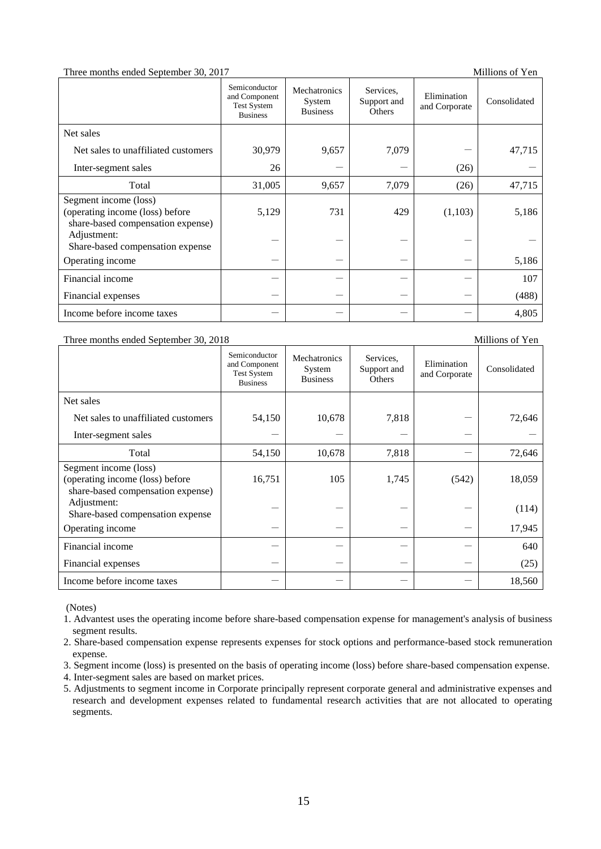#### Three months ended September 30, 2017

|  |  | Millions of Yen |  |  |
|--|--|-----------------|--|--|
|--|--|-----------------|--|--|

|                                                                                               | Semiconductor<br>and Component<br><b>Test System</b><br><b>Business</b> | Mechatronics<br>System<br><b>Business</b> | Services.<br>Support and<br>Others | Elimination<br>and Corporate | Consolidated |
|-----------------------------------------------------------------------------------------------|-------------------------------------------------------------------------|-------------------------------------------|------------------------------------|------------------------------|--------------|
| Net sales                                                                                     |                                                                         |                                           |                                    |                              |              |
| Net sales to unaffiliated customers                                                           | 30,979                                                                  | 9,657                                     | 7,079                              |                              | 47,715       |
| Inter-segment sales                                                                           | 26                                                                      |                                           |                                    | (26)                         |              |
| Total                                                                                         | 31,005                                                                  | 9,657                                     | 7,079                              | (26)                         | 47,715       |
| Segment income (loss)<br>(operating income (loss) before<br>share-based compensation expense) | 5,129                                                                   | 731                                       | 429                                | (1,103)                      | 5,186        |
| Adjustment:<br>Share-based compensation expense                                               |                                                                         |                                           |                                    |                              |              |
| Operating income                                                                              |                                                                         |                                           |                                    |                              | 5,186        |
| Financial income                                                                              |                                                                         |                                           |                                    |                              | 107          |
| Financial expenses                                                                            |                                                                         |                                           |                                    |                              | (488)        |
| Income before income taxes                                                                    |                                                                         |                                           |                                    |                              | 4,805        |

## Three months ended September 30, 2018 Millions of Yen

|                                                                                               | Semiconductor<br>and Component<br><b>Test System</b><br><b>Business</b> | Mechatronics<br>System<br><b>Business</b> | Services,<br>Support and<br><b>Others</b> | Elimination<br>and Corporate | Consolidated |
|-----------------------------------------------------------------------------------------------|-------------------------------------------------------------------------|-------------------------------------------|-------------------------------------------|------------------------------|--------------|
| Net sales                                                                                     |                                                                         |                                           |                                           |                              |              |
| Net sales to unaffiliated customers                                                           | 54,150                                                                  | 10,678                                    | 7,818                                     |                              | 72,646       |
| Inter-segment sales                                                                           |                                                                         |                                           |                                           |                              |              |
| Total                                                                                         | 54,150                                                                  | 10,678                                    | 7,818                                     |                              | 72,646       |
| Segment income (loss)<br>(operating income (loss) before<br>share-based compensation expense) | 16,751                                                                  | 105                                       | 1,745                                     | (542)                        | 18,059       |
| Adjustment:<br>Share-based compensation expense                                               |                                                                         |                                           |                                           |                              | (114)        |
| Operating income                                                                              |                                                                         |                                           |                                           |                              | 17,945       |
| Financial income                                                                              |                                                                         |                                           |                                           |                              | 640          |
| Financial expenses                                                                            |                                                                         |                                           |                                           |                              | (25)         |
| Income before income taxes                                                                    |                                                                         |                                           |                                           |                              | 18,560       |

(Notes)

- 1. Advantest uses the operating income before share-based compensation expense for management's analysis of business segment results.
- 2. Share-based compensation expense represents expenses for stock options and performance-based stock remuneration expense.
- 3. Segment income (loss) is presented on the basis of operating income (loss) before share-based compensation expense.
- 4. Inter-segment sales are based on market prices.
- 5. Adjustments to segment income in Corporate principally represent corporate general and administrative expenses and research and development expenses related to fundamental research activities that are not allocated to operating segments.